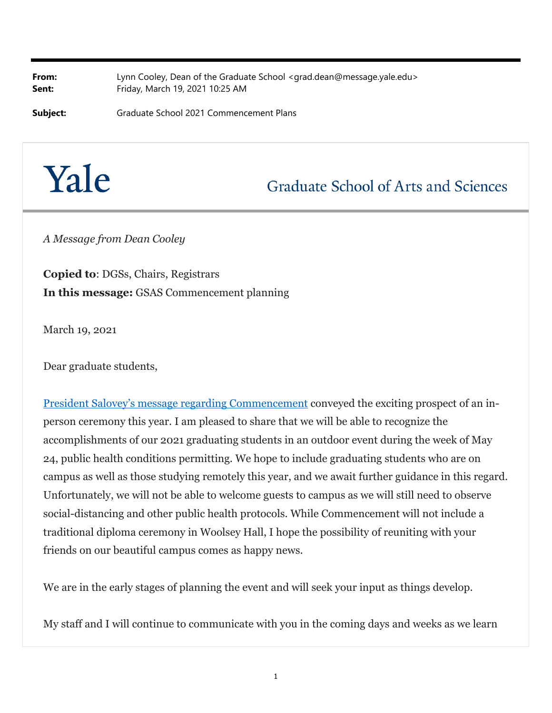**From:** Lynn Cooley, Dean of the Graduate School <grad.dean@message.yale.edu> **Sent:** Friday, March 19, 2021 10:25 AM

**Subject:** Graduate School 2021 Commencement Plans

## Yale

## **Graduate School of Arts and Sciences**

*A Message from Dean Cooley*

**Copied to**: DGSs, Chairs, Registrars **In this message:** GSAS Commencement planning

March 19, 2021

Dear graduate students,

President Salovey's message regarding Commencement conveyed the exciting prospect of an inperson ceremony this year. I am pleased to share that we will be able to recognize the accomplishments of our 2021 graduating students in an outdoor event during the week of May 24, public health conditions permitting. We hope to include graduating students who are on campus as well as those studying remotely this year, and we await further guidance in this regard. Unfortunately, we will not be able to welcome guests to campus as we will still need to observe social-distancing and other public health protocols. While Commencement will not include a traditional diploma ceremony in Woolsey Hall, I hope the possibility of reuniting with your friends on our beautiful campus comes as happy news.

We are in the early stages of planning the event and will seek your input as things develop.

My staff and I will continue to communicate with you in the coming days and weeks as we learn